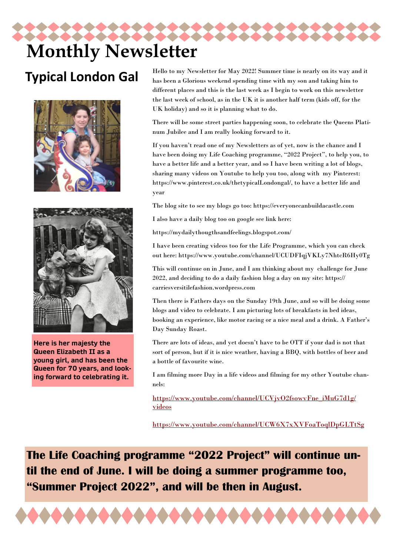# **Monthly Newsletter**

#### **Typical London Gal**





**Here is her majesty the Queen Elizabeth II as a young girl, and has been the Queen for 70 years, and looking forward to celebrating it.**

Hello to my Newsletter for May 2022! Summer time is nearly on its way and it has been a Glorious weekend spending time with my son and taking him to different places and this is the last week as I begin to work on this newsletter the last week of school, as in the UK it is another half term (kids off, for the UK holiday) and so it is planning what to do.

There will be some street parties happening soon, to celebrate the Queens Platinum Jubilee and I am really looking forward to it.

If you haven't read one of my Newsletters as of yet, now is the chance and I have been doing my Life Coaching programme, "2022 Project", to help you, to have a better life and a better year, and so I have been writing a lot of blogs, sharing many videos on Youtube to help you too, along with my Pinterest: https://www.pinterest.co.uk/thetypicalLondongal/, to have a better life and year

The blog site to see my blogs go too: https://everyonecanbuildacastle.com

I also have a daily blog too on google see link here:

https://mydailythougthsandfeelings.blogspot.com/

I have been creating videos too for the Life Programme, which you can check out here: https://www.youtube.com/channel/UCUDFIqjVKLy7NhtcR6Hy0Tg

This will continue on in June, and I am thinking about my challenge for June 2022, and deciding to do a daily fashion blog a day on my site: https:// carriesversitilefashion.wordpress.com

Then there is Fathers days on the Sunday 19th June, and so will be doing some blogs and video to celebrate. I am picturing lots of breakfasts in bed ideas, booking an experience, like motor racing or a nice meal and a drink. A Father's Day Sunday Roast.

There are lots of ideas, and yet doesn't have to be OTT if your dad is not that sort of person, but if it is nice weather, having a BBQ, with bottles of beer and a bottle of favourite wine.

I am filming more Day in a life videos and filming for my other Youtube channels:

[https://www.youtube.com/channel/UCVjvO2fsowvFne\\_iMuG7d1g/](https://www.youtube.com/channel/UCVjvO2fsowvFne_iMuG7d1g/videos) [videos](https://www.youtube.com/channel/UCVjvO2fsowvFne_iMuG7d1g/videos)

<https://www.youtube.com/channel/UCW6X7xXVFoaToqlDpGLTtSg>

**The Life Coaching programme "2022 Project" will continue until the end of June. I will be doing a summer programme too, "Summer Project 2022", and will be then in August.**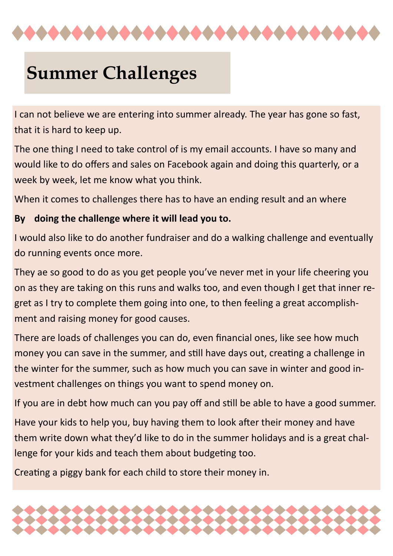

## **Summer Challenges**

I can not believe we are entering into summer already. The year has gone so fast, that it is hard to keep up.

The one thing I need to take control of is my email accounts. I have so many and would like to do offers and sales on Facebook again and doing this quarterly, or a week by week, let me know what you think.

When it comes to challenges there has to have an ending result and an where

#### **By doing the challenge where it will lead you to.**

I would also like to do another fundraiser and do a walking challenge and eventually do running events once more.

They ae so good to do as you get people you've never met in your life cheering you on as they are taking on this runs and walks too, and even though I get that inner regret as I try to complete them going into one, to then feeling a great accomplishment and raising money for good causes.

There are loads of challenges you can do, even financial ones, like see how much money you can save in the summer, and still have days out, creating a challenge in the winter for the summer, such as how much you can save in winter and good investment challenges on things you want to spend money on.

If you are in debt how much can you pay off and still be able to have a good summer.

Have your kids to help you, buy having them to look after their money and have them write down what they'd like to do in the summer holidays and is a great challenge for your kids and teach them about budgeting too.

Creating a piggy bank for each child to store their money in.